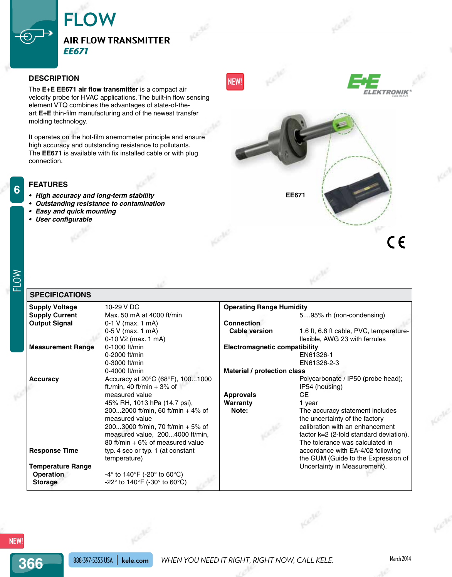## **Air Flow Transmitter** *EE671*

**FLOW**

## **Description**

The **E+E EE671 air flow transmitter** is a compact air velocity probe for HVAC applications. The built-in flow sensing element VTQ combines the advantages of state-of-theart **E+E** thin-film manufacturing and of the newest transfer molding technology.

It operates on the hot-film anemometer principle and ensure high accuracy and outstanding resistance to pollutants. The **EE671** is available with fix installed cable or with plug connection.

### **Features**

- **• High accuracy and long-term stability**
- **• Outstanding resistance to contamination**
- **• Easy and quick mounting**
- **• User configurable**



# FLOW

**6**

#### **Supply Voltage** 10-29 V DC **Supply Current** Max. 50 mA at 4000 ft/min **Output Signal** 0-1 V (max. 1 mA) 0-5 V (max. 1 mA) 0-10 V2 (max. 1 mA) **Measurement Range** 0-1000 ft/min 0-2000 ft/min 0-3000 ft/min 0-4000 ft/min **Accuracy** Accuracy at 20°C (68°F), 100...1000 ft./min, 40 ft/min + 3% of measured value 45% RH, 1013 hPa (14.7 psi), 200...2000 ft/min, 60 ft/min + 4% of measured value 200...3000 ft/min, 70 ft/min + 5% of measured value, 200...4000 ft/min, 80 ft/min + 6% of measured value **Response Time** typ. 4 sec or typ. 1 (at constant temperature) **Temperature Range Operation -4°** to 140°F (-20° to 60°C) **Storage** -22° to 140°F (-30° to 60°C) **Operating Range Humidity** 5....95% rh (non-condensing) **Connection Cable version** 1.6 ft, 6.6 ft cable, PVC, temperatureflexible, AWG 23 with ferrules **Electromagnetic compatibility** EN61326-1 EN61326-2-3 **Material / protection class** Polycarbonate / IP50 (probe head); IP54 (housing) **Approvals** CE **Warranty** 1 year<br> **Note:** The ac The accuracy statement includes the uncertainty of the factory calibration with an enhancement factor k=2 (2-fold standard deviation). The tolerance was calculated in accordance with EA-4/02 following the GUM (Guide to the Expression of Uncertainty in Measurement). **Specifications**

**366**

## 888-397-5353 USA **kele.com** *When you need it right, right now, call Kele.* March 2014